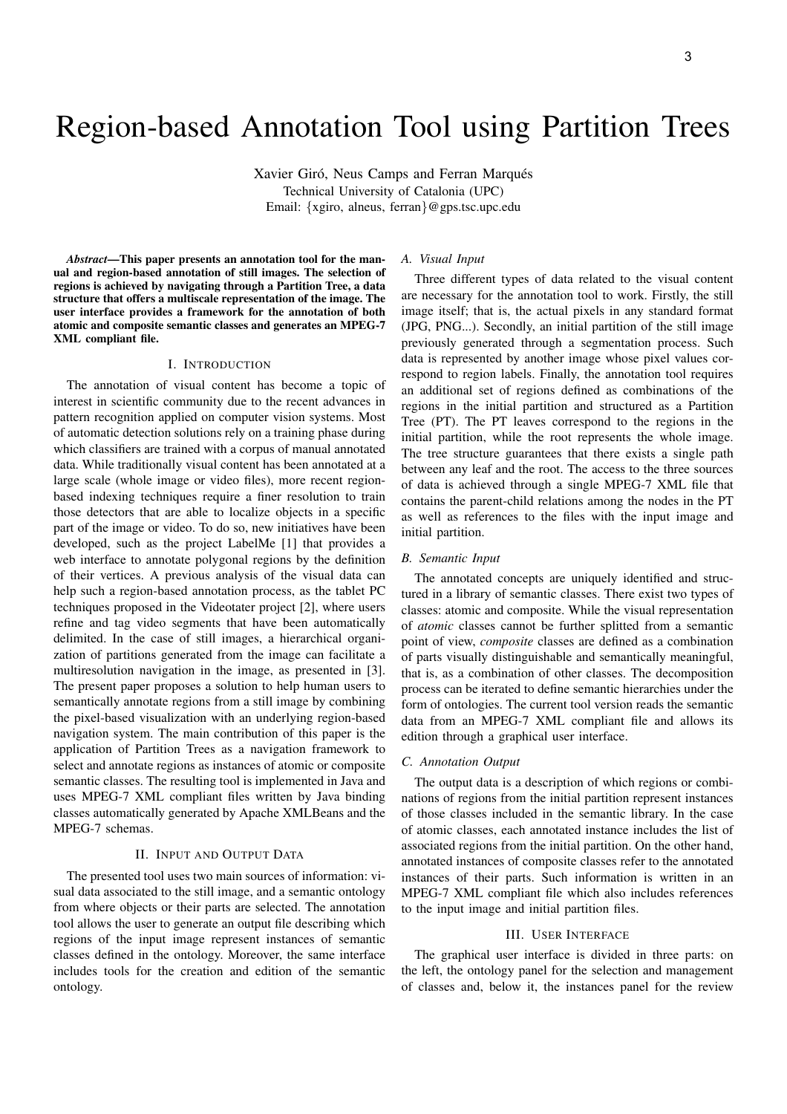# Region-based Annotation Tool using Partition Trees

Xavier Giró, Neus Camps and Ferran Marqués Technical University of Catalonia (UPC) Email: {xgiro, alneus, ferran}@gps.tsc.upc.edu

*Abstract*—This paper presents an annotation tool for the manual and region-based annotation of still images. The selection of regions is achieved by navigating through a Partition Tree, a data structure that offers a multiscale representation of the image. The user interface provides a framework for the annotation of both atomic and composite semantic classes and generates an MPEG-7 XML compliant file.

## I. INTRODUCTION

The annotation of visual content has become a topic of interest in scientific community due to the recent advances in pattern recognition applied on computer vision systems. Most of automatic detection solutions rely on a training phase during which classifiers are trained with a corpus of manual annotated data. While traditionally visual content has been annotated at a large scale (whole image or video files), more recent regionbased indexing techniques require a finer resolution to train those detectors that are able to localize objects in a specific part of the image or video. To do so, new initiatives have been developed, such as the project LabelMe [1] that provides a web interface to annotate polygonal regions by the definition of their vertices. A previous analysis of the visual data can help such a region-based annotation process, as the tablet PC techniques proposed in the Videotater project [2], where users refine and tag video segments that have been automatically delimited. In the case of still images, a hierarchical organization of partitions generated from the image can facilitate a multiresolution navigation in the image, as presented in [3]. The present paper proposes a solution to help human users to semantically annotate regions from a still image by combining the pixel-based visualization with an underlying region-based navigation system. The main contribution of this paper is the application of Partition Trees as a navigation framework to select and annotate regions as instances of atomic or composite semantic classes. The resulting tool is implemented in Java and uses MPEG-7 XML compliant files written by Java binding classes automatically generated by Apache XMLBeans and the MPEG-7 schemas.

# II. INPUT AND OUTPUT DATA

The presented tool uses two main sources of information: visual data associated to the still image, and a semantic ontology from where objects or their parts are selected. The annotation tool allows the user to generate an output file describing which regions of the input image represent instances of semantic classes defined in the ontology. Moreover, the same interface includes tools for the creation and edition of the semantic ontology.

### *A. Visual Input*

Three different types of data related to the visual content are necessary for the annotation tool to work. Firstly, the still image itself; that is, the actual pixels in any standard format (JPG, PNG...). Secondly, an initial partition of the still image previously generated through a segmentation process. Such data is represented by another image whose pixel values correspond to region labels. Finally, the annotation tool requires an additional set of regions defined as combinations of the regions in the initial partition and structured as a Partition Tree (PT). The PT leaves correspond to the regions in the initial partition, while the root represents the whole image. The tree structure guarantees that there exists a single path between any leaf and the root. The access to the three sources of data is achieved through a single MPEG-7 XML file that contains the parent-child relations among the nodes in the PT as well as references to the files with the input image and initial partition.

# *B. Semantic Input*

The annotated concepts are uniquely identified and structured in a library of semantic classes. There exist two types of classes: atomic and composite. While the visual representation of *atomic* classes cannot be further splitted from a semantic point of view, *composite* classes are defined as a combination of parts visually distinguishable and semantically meaningful, that is, as a combination of other classes. The decomposition process can be iterated to define semantic hierarchies under the form of ontologies. The current tool version reads the semantic data from an MPEG-7 XML compliant file and allows its edition through a graphical user interface.

#### *C. Annotation Output*

The output data is a description of which regions or combinations of regions from the initial partition represent instances of those classes included in the semantic library. In the case of atomic classes, each annotated instance includes the list of associated regions from the initial partition. On the other hand, annotated instances of composite classes refer to the annotated instances of their parts. Such information is written in an MPEG-7 XML compliant file which also includes references to the input image and initial partition files.

## III. USER INTERFACE

The graphical user interface is divided in three parts: on the left, the ontology panel for the selection and management of classes and, below it, the instances panel for the review